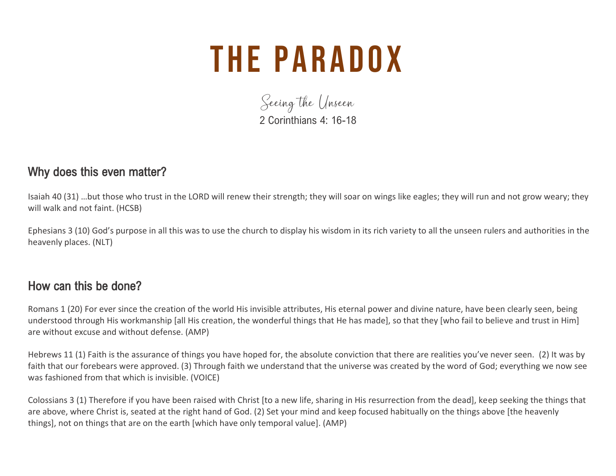# **THE PARADOX**

Seeing the Unseen 2 Corinthians 4: 16-18

#### Why does this even matter?

Isaiah 40 (31) …but those who trust in the LORD will renew their strength; they will soar on wings like eagles; they will run and not grow weary; they will walk and not faint. (HCSB)

Ephesians 3 (10) God's purpose in all this was to use the church to display his wisdom in its rich variety to all the unseen rulers and authorities in the heavenly places. (NLT)

#### How can this be done?

Romans 1 (20) For ever since the creation of the world His invisible attributes, His eternal power and divine nature, have been clearly seen, being understood through His workmanship [all His creation, the wonderful things that He has made], so that they [who fail to believe and trust in Him] are without excuse and without defense. (AMP)

Hebrews 11 (1) Faith is the assurance of things you have hoped for, the absolute conviction that there are realities you've never seen. (2) It was by faith that our forebears were approved. (3) Through faith we understand that the universe was created by the word of God; everything we now see was fashioned from that which is invisible. (VOICE)

Colossians 3 (1) Therefore if you have been raised with Christ [to a new life, sharing in His resurrection from the dead], keep seeking the things that are above, where Christ is, seated at the right hand of God. (2) Set your mind and keep focused habitually on the things above [the heavenly things], not on things that are on the earth [which have only temporal value]. (AMP)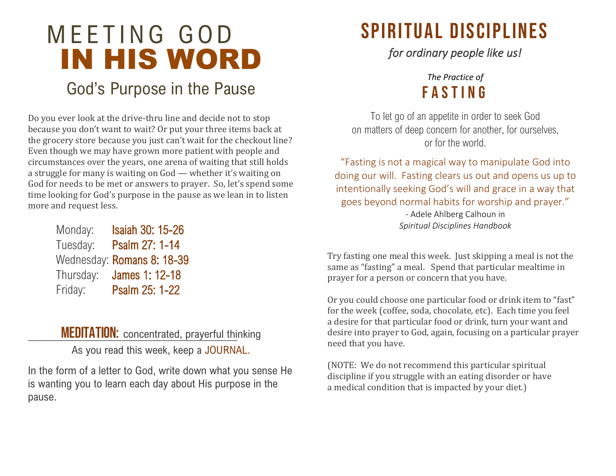# IN HIS WORD God's Purpose in the Pause MEETING GOD

Do you ever look at the drive-thru line and decide not to stop because you don't want to wait? Or put your three items back at the grocery store because you just can't wait for the checkout line? Even though we may have grown more patient with people and circumstances over the years, one arena of waiting that still holds a struggle for many is waiting on God — whether it's waiting on God for needs to be met or answers to prayer. So, let's spend some time looking for God's purpose in the pause as we lean in to listen more and request less.

| Monday:   | <b>Isaiah 30: 15-26</b>    |
|-----------|----------------------------|
| Tuesday:  | Psalm 27: 1-14             |
|           | Wednesday: Romans 8: 18-39 |
| Thursday: | James 1: 12-18             |
| Friday:   | Psalm 25: 1-22             |

**MEDITATION:** concentrated, prayerful thinking

As you read this week, keep a JOURNAL.

In the form of a letter to God, write down what you sense He is wanting you to learn each day about His purpose in the pause.

### SPIRITUAL DISCIPLINES

*for ordinary people like us!* 

### *The Practice of*  f a s t i n g

To let go of an appetite in order to seek God on matters of deep concern for another, for ourselves, or for the world.

"Fasting is not a magical way to manipulate God into doing our will. Fasting clears us out and opens us up to intentionally seeking God's will and grace in a way that goes beyond normal habits for worship and prayer."

> - Adele Ahlberg Calhoun in *Spiritual Disciplines Handbook*

Try fasting one meal this week. Just skipping a meal is not the same as "fasting" a meal. Spend that particular mealtime in prayer for a person or concern that you have.

Or you could choose one particular food or drink item to "fast" for the week (coffee, soda, chocolate, etc). Each time you feel a desire for that particular food or drink, turn your want and desire into prayer to God, again, focusing on a particular prayer need that you have.

(NOTE: We do not recommend this particular spiritual discipline if you struggle with an eating disorder or have a medical condition that is impacted by your diet.)